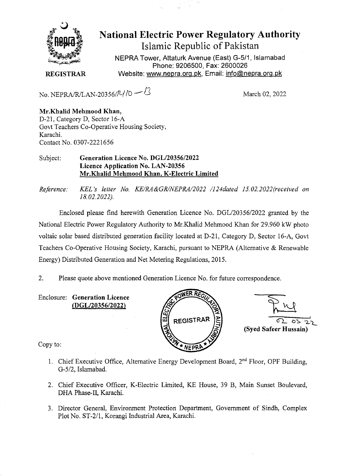

**National Electric Power Regulatory Authority Islamic Republic of Pakistan** 

NEPRA Tower, Attaturk Avenue (East) G-5/1, Islamabad Phone: 9206500, Fax: 2600026 **REGISTRAR** Website: www.nepra.org.pk, Email: info@nepra.org.pk

No. NEPRA/R/LAN-20356/1/10 – <sup>1</sup>/3

**Mr.Khalid Mehmood Khan,**  D-21, Category D, Sector 16-A Govt Teachers Co-Operative Housing Society, Karachi. Contact No. 0307-222 1656

## Subject: **Generation Licence No.** *DGL120356/2022*  **Licence Application No. LAN-20356 Mr.Khalid Mehmood Khan, K-Electric Limited**

*Reference: KEL's letter No. KE/RA&GR/NEPRA/2022 /124dated 15.02.2022(received on 18.02.2022).* 

Enclosed please find herewith Generation Licence No. DGL/20356/2022 granted by the National Electric Power Regulatory Authority to Mr.Khalid Mehmood Khan for 29.960 kW photo voltaic solar based distributed generation facility located at D-21, Category D, Sector 16-A, Govt Teachers Co-Operative Housing Society, Karachi, pursuant to NEPRA (Alternative & Renewable Energy) Distributed Generation and Net Metering Regulations, 2015.

2. Please quote above mentioned Generation Licence No. for future correspondence.

Enclosure: **Generation Licence (DGL/2035612022)** 





Copy to:

- 1. Chief Executive Office, Alternative Energy Development Board,  $2<sup>nd</sup>$  Floor, OPF Building, *G-512,* Islamabad.
- 2. Chief Executive Officer, K-Electric Limited, KE House, 39 B, Main Sunset Boulevard, DHA Phase-II, Karachi.
- 3. Director General, Environment Protection Department, Government of Sindh, Complex Plot No. ST-2/1, Korangi Industrial Area, Karachi.